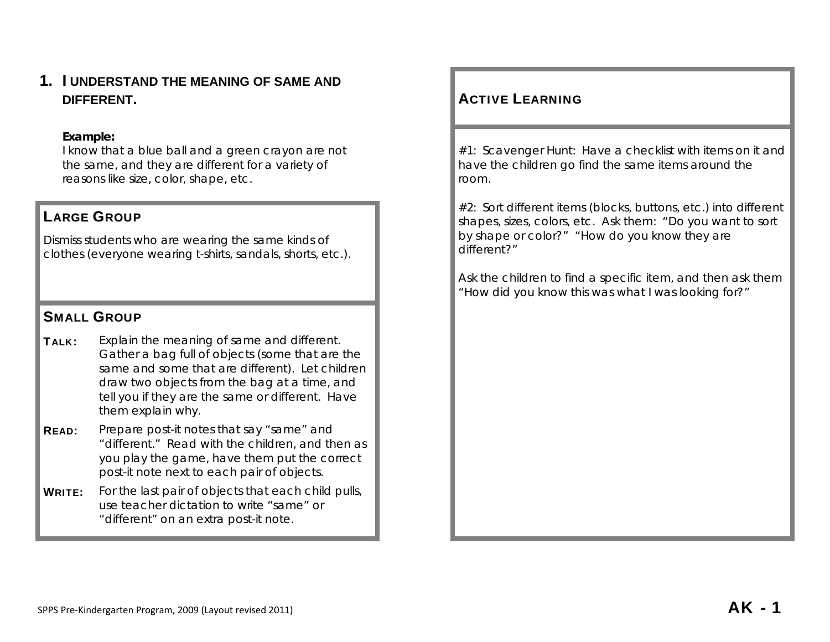# **1. I UNDERSTAND THE MEANING OF SAME AND DIFFERENT.**

#### **Example:**

I know that a blue ball and a green crayon are not the same, and they are different for a variety of reasons like size, color, shape, etc.

# LARGE GROUP

Dismiss students who are wearing the same kinds of clothes (everyone wearing t-shirts, sandals, shorts, etc.).

# SMALL GROUP

- **TALK:** Explain the meaning of same and different. Gather a bag full of objects (some that are the same and some that are different). Let children draw two objects from the bag at a time, and tell you if they are the same or different. Have them explain why.
- **READ:** Prepare post-it notes that say "same" and "different." Read with the children, and then as you play the game, have them put the correct post-it note next to each pair of objects.
- WRITE: For the last pair of objects that each child pulls, use teacher dictation to write "same" or "different" on an extra post-it note.

# **ACTIVE LEARNING**

#1: Scavenger Hunt: Have a checklist with items on it and have the children go find the same items around the room.

#2: Sort different items (blocks, buttons, etc.) into different shapes, sizes, colors, etc. Ask them: "Do you want to sort by shape or color?" "How do you know they are different?"

Ask the children to find a specific item, and then ask them "How did you know this was what I was looking for?"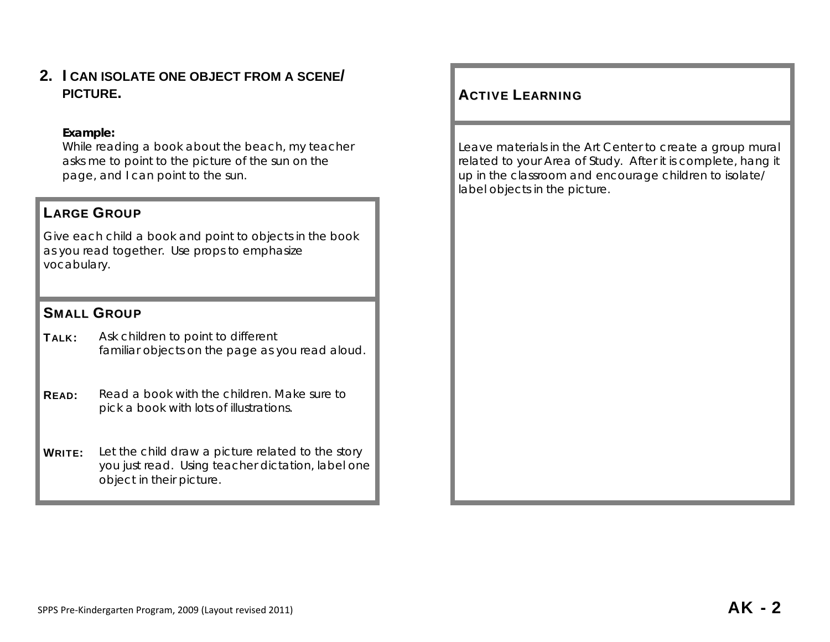**2. I CAN ISOLATE ONE OBJECT FROM A SCENE/PICTURE. ACTIVE** 

## **Example:**

While reading a book about the beach, my teacher asks me to point to the picture of the sun on the page, and I can point to the sun.

## LARGE GROUP

Give each child a book and point to objects in the book as you read together. Use props to emphasize vocabulary.

## SMALL GROUP

TALK: Ask children to point to different familiar objects on the page as you read aloud.

**READ:** Read a book with the children. Make sure to pick a book with lots of illustrations.

**WRITE:** Let the child draw a picture related to the story you just read. Using teacher dictation, label one object in their picture.

# **ACTIVE LEARNING**

Leave materials in the Art Center to create a group mural related to your Area of Study. After it is complete, hang it up in the classroom and encourage children to isolate/ label objects in the picture.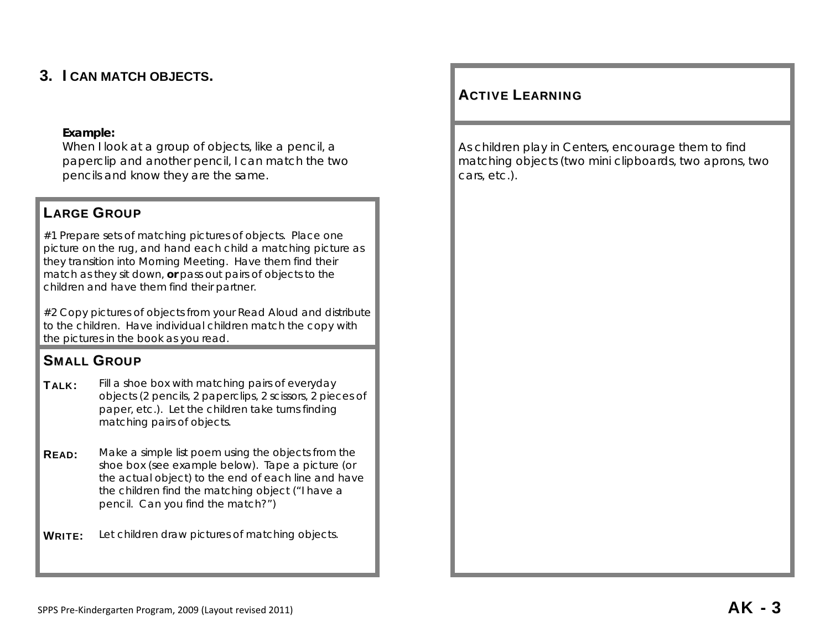# **3. I CAN MATCH OBJECTS.**

## **Example:**

When I look at a group of objects, like a pencil, a paperclip and another pencil, I can match the two pencils and know they are the same.

# LARGE GROUP

#1 Prepare sets of matching pictures of objects. Place one picture on the rug, and hand each child a matching picture as they transition into Morning Meeting. Have them find their match as they sit down, **or** pass out pairs of objects to the children and have them find their partner.

#2 Copy pictures of objects from your Read Aloud and distribute to the children. Have individual children match the copy with the pictures in the book as you read.

# SMALL GROUP

- **TALK:** Fill a shoe box with matching pairs of everyday objects (2 pencils, 2 paperclips, 2 scissors, 2 pieces of paper, etc.). Let the children take turns finding matching pairs of objects.
- **READ:** Make a simple list poem using the objects from the shoe box (see example below). Tape a picture (or the actual object) to the end of each line and have the children find the matching object ("I have a pencil. Can you find the match?")

WRITE: Let children draw pictures of matching objects.

# ACTIVE LEARNING

As children play in Centers, encourage them to find matching objects (two mini clipboards, two aprons, two cars, etc.).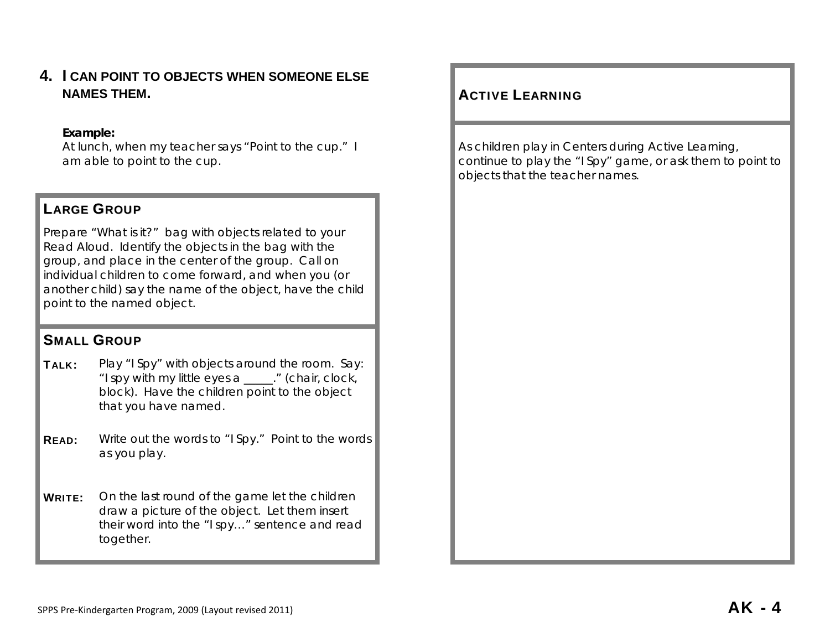**4. I CAN POINT TO OBJECTS WHEN SOMEONE ELSE NAMES THEM.** 

#### **Example:**

At lunch, when my teacher says "Point to the cup." I am able to point to the cup.

## LARGE GROUP

Prepare "What is it?" bag with objects related to your Read Aloud. Identify the objects in the bag with the group, and place in the center of the group. Call on individual children to come forward, and when you (or another child) say the name of the object, have the child point to the named object.

# SMALL GROUP

**TALK:** Play "I Spy" with objects around the room. Say: "I spy with my little eyes a \_\_\_\_\_." (chair, clock, block). Have the children point to the object that you have named.

**READ:** Write out the words to "I Spy." Point to the words as you play.

**WRITE:** On the last round of the game let the children draw a picture of the object. Let them insert their word into the "I spy…" sentence and read together.

# **ACTIVE LEARNING**

As children play in Centers during Active Learning, continue to play the "I Spy" game, or ask them to point to objects that the teacher names.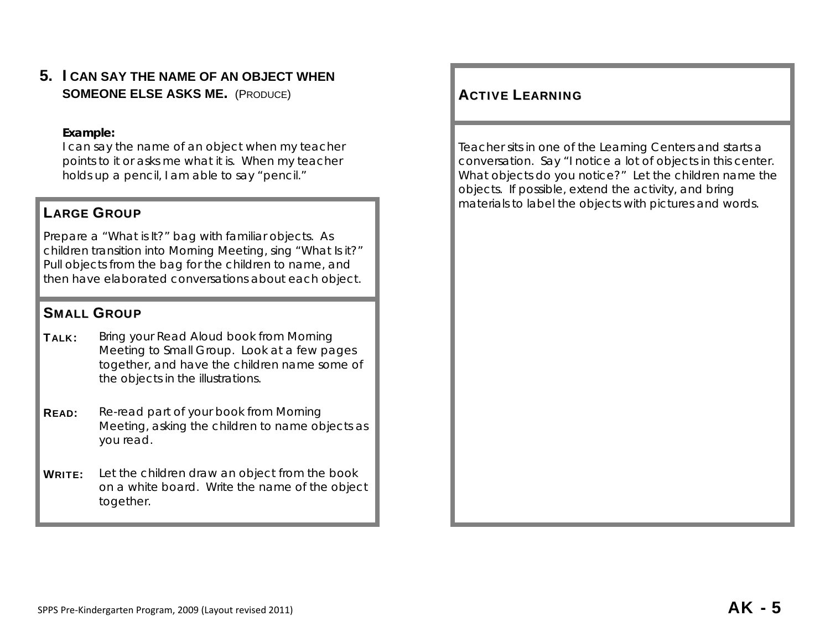**5. I CAN SAY THE NAME OF AN OBJECT WHEN SOMEONE ELSE ASKS ME.** (Produce) ACTIVE

## **Example:**

I can say the name of an object when my teacher points to it or asks me what it is. When my teacher holds up a pencil, I am able to say "pencil."

# **LARGE GROUP**

Prepare a "What is It?" bag with familiar objects. As children transition into Morning Meeting, sing "What Is it?" Pull objects from the bag for the children to name, and then have elaborated conversations about each object.

# SMALL GROUP

- **TALK:** Bring your Read Aloud book from Morning Meeting to Small Group. Look at a few pages together, and have the children name some of the objects in the illustrations.
- **READ:** Re-read part of your book from Morning Meeting, asking the children to name objects as you read.
- **WRITE:** Let the children draw an object from the book on a white board. Write the name of the object together.

# **ACTIVE LEARNING**

Teacher sits in one of the Learning Centers and starts a conversation. Say "I notice a lot of objects in this center. What objects do you notice?" Let the children name the objects. If possible, extend the activity, and bring materials to label the objects with pictures and words.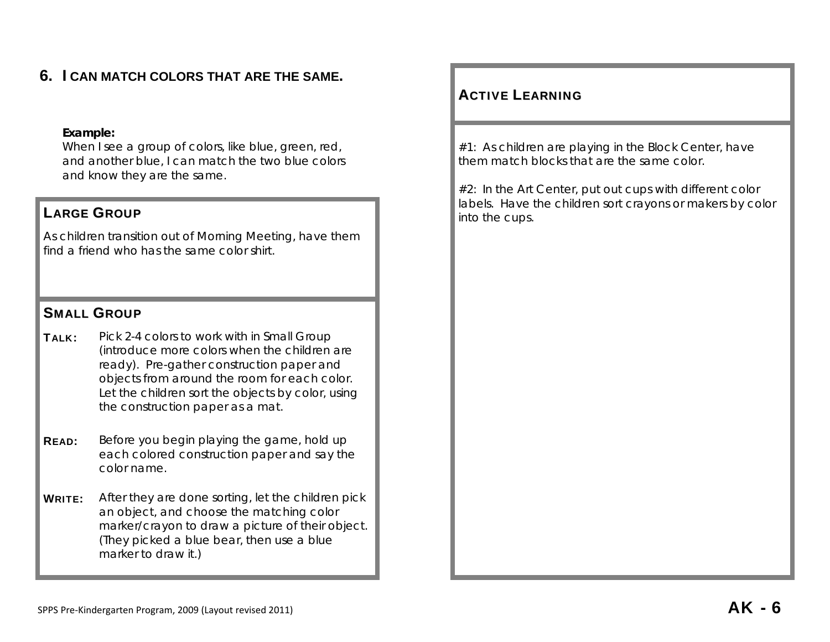# **6. I CAN MATCH COLORS THAT ARE THE SAME.**

#### **Example:**

When I see a group of colors, like blue, green, red, and another blue, I can match the two blue colors and know they are the same.

As children transition out of Morning Meeting, have them find a friend who has the same color shirt.

## SMALL GROUP

- TALK: Pick 2-4 colors to work with in Small Group (introduce more colors when the children are ready). Pre-gather construction paper and objects from around the room for each color. Let the children sort the objects by color, using the construction paper as a mat.
- **READ:** Before you begin playing the game, hold up each colored construction paper and say the color name.
- **WRITE:** After they are done sorting, let the children pick an object, and choose the matching color marker/crayon to draw a picture of their object. (They picked a blue bear, then use a blue marker to draw it.)

# ACTIVE LEARNING

#1: As children are playing in the Block Center, have them match blocks that are the same color.

#2: In the Art Center, put out cups with different color **LARGE GROUP LARGE GROUP LARGE GROUP LARGE GROUP LARGE GROUP LARGE GROUP LARGE GROUP LARGE GROUP LARGE GROUP LARGE GROUP LARGE GROUP LARGE GROUP LARGE GROUP LARGE GROUP LARGE GROUP LARGE GROUP** into the cups.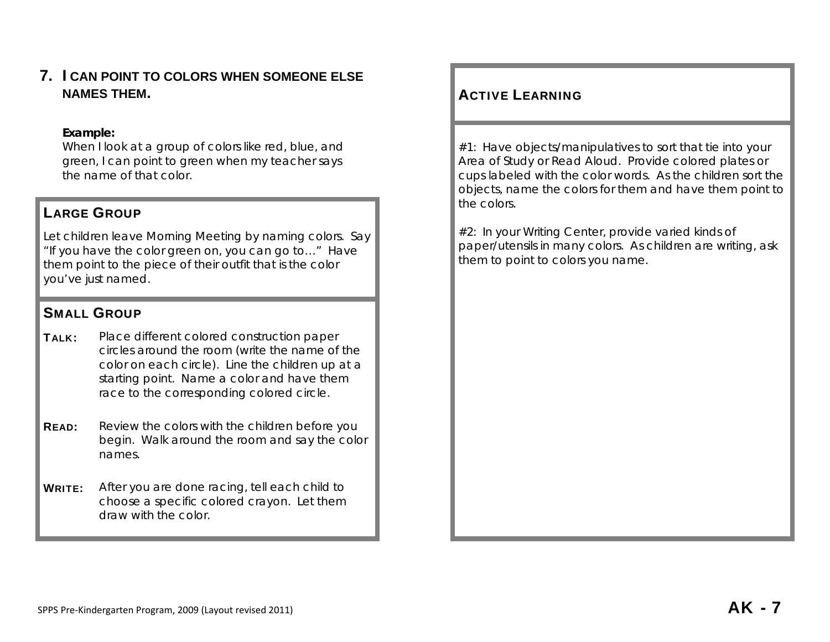**7. I CAN POINT TO COLORS WHEN SOMEONE ELSE NAMES THEM.** 

## **Example:**

When I look at a group of colors like red, blue, and green, I can point to green when my teacher says the name of that color.

# LARGE GROUP

Let children leave Morning Meeting by naming colors. Say "If you have the color green on, you can go to…" Have them point to the piece of their outfit that is the color you've just named.

# SMALL GROUP

- **TALK:** Place different colored construction paper circles around the room (write the name of the color on each circle). Line the children up at a starting point. Name a color and have them race to the corresponding colored circle.
- **READ:** Review the colors with the children before you begin. Walk around the room and say the color names.
- WRITE: After you are done racing, tell each child to choose a specific colored crayon. Let them draw with the color.

# **ACTIVE LEARNING**

#1: Have objects/manipulatives to sort that tie into your Area of Study or Read Aloud. Provide colored plates or cups labeled with the color words. As the children sort the objects, name the colors for them and have them point to the colors.

#2: In your Writing Center, provide varied kinds of paper/utensils in many colors. As children are writing, ask them to point to colors you name.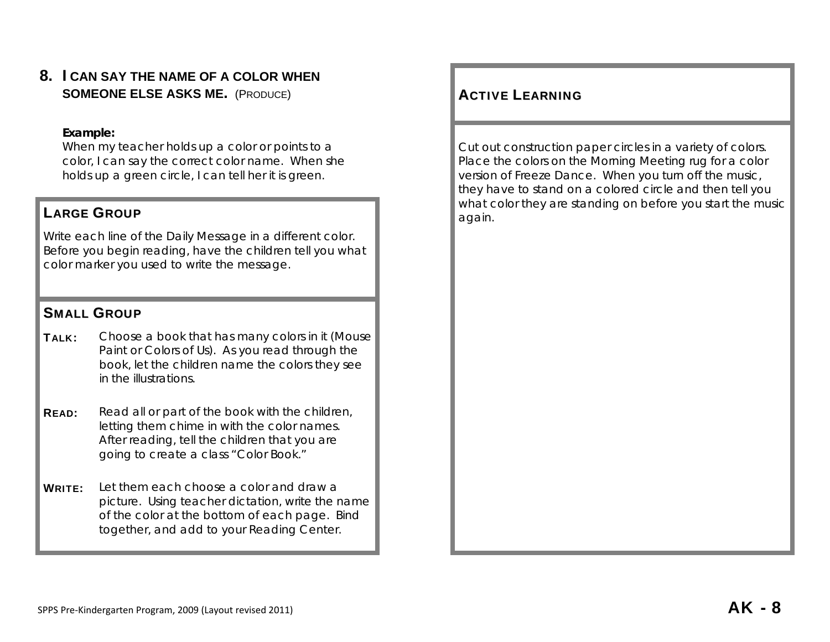**8. I CAN SAY THE NAME OF A COLOR WHEN SOMEONE ELSE ASKS ME.** (Produce) ACTIVE

#### **Example:**

When my teacher holds up a color or points to a color, I can say the correct color name. When she holds up a green circle, I can tell her it is green.

# **E GROUP again.**

Write each line of the Daily Message in a different color. Before you begin reading, have the children tell you what color marker you used to write the message.

## SMALL GROUP

- TALK: Choose a book that has many colors in it (*Mouse Paint* or *Colors of Us*). As you read through the book, let the children name the colors they see in the illustrations.
- **READ:** Read all or part of the book with the children, letting them chime in with the color names. After reading, tell the children that you are going to create a class "Color Book."
- WRITE: Let them each choose a color and draw a picture. Using teacher dictation, write the name of the color at the bottom of each page. Bind together, and add to your Reading Center.

# **ACTIVE LEARNING**

Cut out construction paper circles in a variety of colors. Place the colors on the Morning Meeting rug for a color version of Freeze Dance. When you turn off the music, they have to stand on a colored circle and then tell you **LARGE GROUP CONSIDERING A REPORT OF A REAL PROPERTY AND REAL PROPERTY OF A REAL PROPERTY OF A REAL PROPERTY OF A REAL PROPERTY OF A REAL PROPERTY OF A REAL PROPERTY OF A REAL PROPERTY OF A REAL PROPERTY OF A REAL PROPER**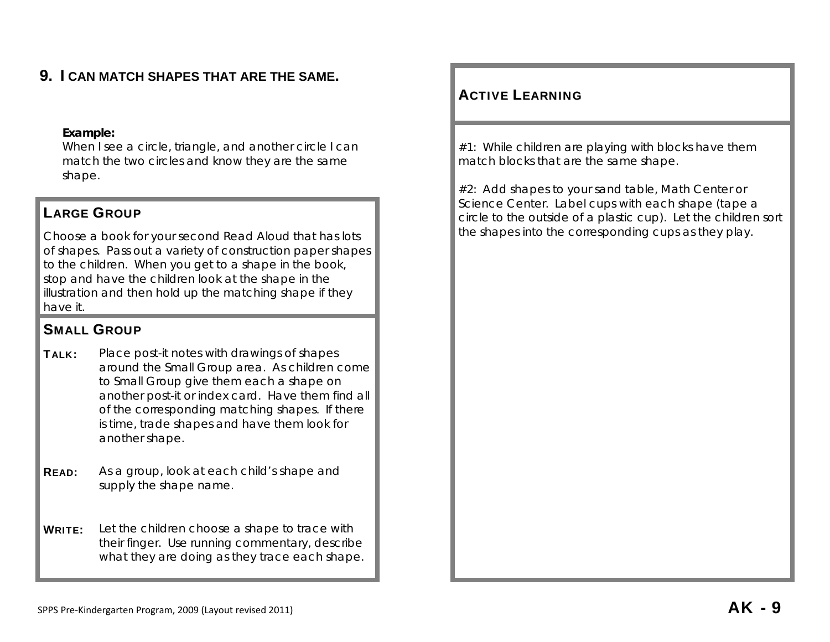# **9. I CAN MATCH SHAPES THAT ARE THE SAME.**

#### **Example:**

When I see a circle, triangle, and another circle I can match the two circles and know they are the same shape.

# LARGE GROUP

Choose a book for your second Read Aloud that has lots of shapes. Pass out a variety of construction paper shapes to the children. When you get to a shape in the book, stop and have the children look at the shape in the illustration and then hold up the matching shape if they have it.

# SMALL GROUP

**TALK:** Place post-it notes with drawings of shapes around the Small Group area. As children come to Small Group give them each a shape on another post-it or index card. Have them find all of the corresponding matching shapes. If there is time, trade shapes and have them look for another shape.

**READ:** As a group, look at each child's shape and supply the shape name.

**WRITE:** Let the children choose a shape to trace with their finger. Use running commentary, describe what they are doing as they trace each shape.

# ACTIVE LEARNING

#1: While children are playing with blocks have them match blocks that are the same shape.

#2: Add shapes to your sand table, Math Center or Science Center. Label cups with each shape (tape a circle to the outside of a plastic cup). Let the children sort the shapes into the corresponding cups as they play.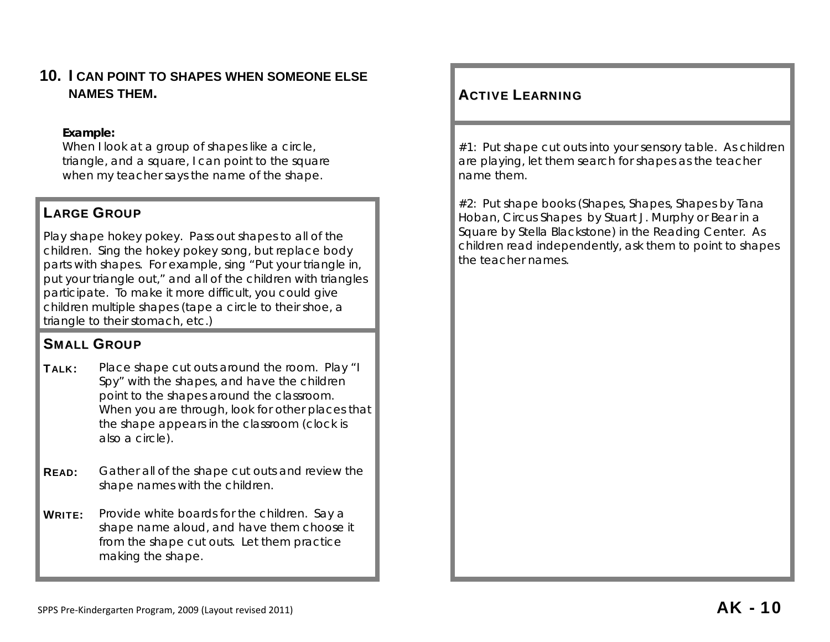# **10. I CAN POINT TO SHAPES WHEN SOMEONE ELSE NAMES THEM.**

## **Example:**

When I look at a group of shapes like a circle, triangle, and a square, I can point to the square when my teacher says the name of the shape.

# LARGE GROUP

Play shape hokey pokey. Pass out shapes to all of the children. Sing the hokey pokey song, but replace body parts with shapes. For example, sing "Put your triangle in, put your triangle out," and all of the children with triangles participate. To make it more difficult, you could give children multiple shapes (tape a circle to their shoe, a triangle to their stomach, etc.)

# SMALL GROUP

- **TALK:** Place shape cut outs around the room. Play "I Spy" with the shapes, and have the children point to the shapes around the classroom. When you are through, look for other places that the shape appears in the classroom (clock is also a circle).
- **READ:** Gather all of the shape cut outs and review the shape names with the children.
- WRITE: Provide white boards for the children. Say a shape name aloud, and have them choose it from the shape cut outs. Let them practice making the shape.

# **ACTIVE LEARNING**

#1: Put shape cut outs into your sensory table. As children are playing, let them search for shapes as the teacher name them.

#2: Put shape books (*Shapes, Shapes, Shapes* by Tana Hoban, *Circus Shapes* by Stuart J. Murphy or *Bear in a Square* by Stella Blackstone) in the Reading Center. As children read independently, ask them to point to shapes the teacher names.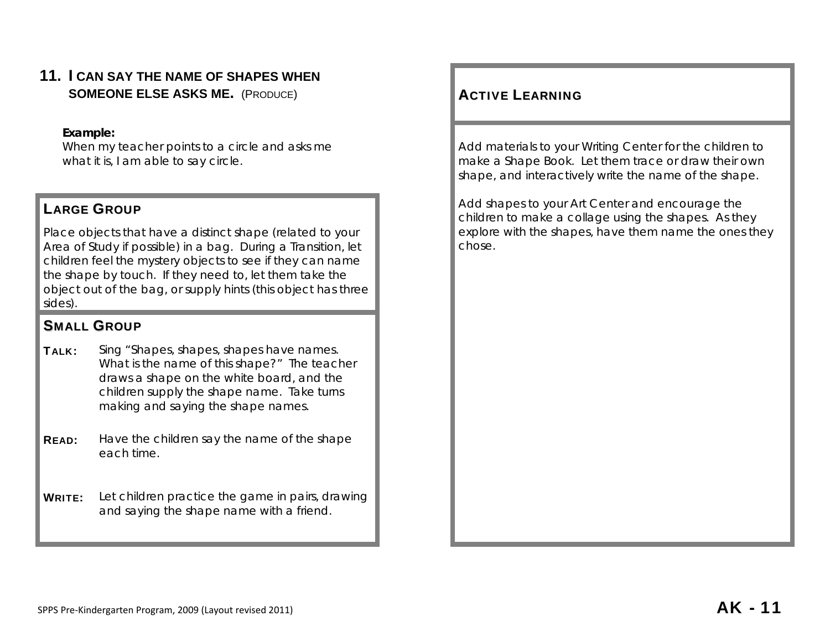**11. I CAN SAY THE NAME OF SHAPES WHEN SOMEONE ELSE ASKS ME.** (Produce) ACTIVE

## **Example:**

When my teacher points to a circle and asks me what it is, I am able to say circle.

# LARGE GROUP

Place objects that have a distinct shape (related to your Area of Study if possible) in a bag. During a Transition, let children feel the mystery objects to see if they can name the shape by touch. If they need to, let them take the object out of the bag, or supply hints (this object has three sides).

# SMALL GROUP

- TALK: Sing "Shapes, shapes, shapes have names. What is the name of this shape?" The teacher draws a shape on the white board, and the children supply the shape name. Take turns making and saying the shape names.
- **READ:** Have the children say the name of the shape each time.

**WRITE:** Let children practice the game in pairs, drawing and saying the shape name with a friend.

# **ACTIVE LEARNING**

Add materials to your Writing Center for the children to make a *Shape Book*. Let them trace or draw their own shape, and interactively write the name of the shape.

Add shapes to your Art Center and encourage the children to make a collage using the shapes. As they explore with the shapes, have them name the ones they chose.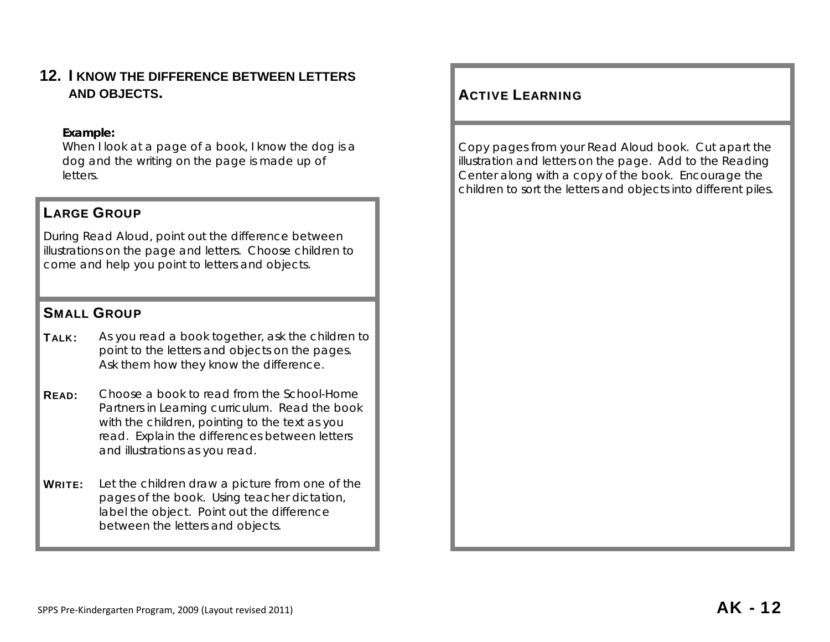**12. I KNOW THE DIFFERENCE BETWEEN LETTERS AND OBJECTS.** 

## **Example:**

When I look at a page of a book, I know the dog is a dog and the writing on the page is made up of letters.

## LARGE GROUP

During Read Aloud, point out the difference between illustrations on the page and letters. Choose children to come and help you point to letters and objects.

## SMALL GROUP

- TALK: As you read a book together, ask the children to point to the letters and objects on the pages. Ask them how they know the difference.
- READ: Choose a book to read from the *School-Home Partners in Learning* curriculum. Read the book with the children, pointing to the text as you read. Explain the differences between letters and illustrations as you read.
- WRITE: Let the children draw a picture from one of the pages of the book. Using teacher dictation, label the object. Point out the difference between the letters and objects.

# **ACTIVE LEARNING**

Copy pages from your Read Aloud book. Cut apart the illustration and letters on the page. Add to the Reading Center along with a copy of the book. Encourage the children to sort the letters and objects into different piles.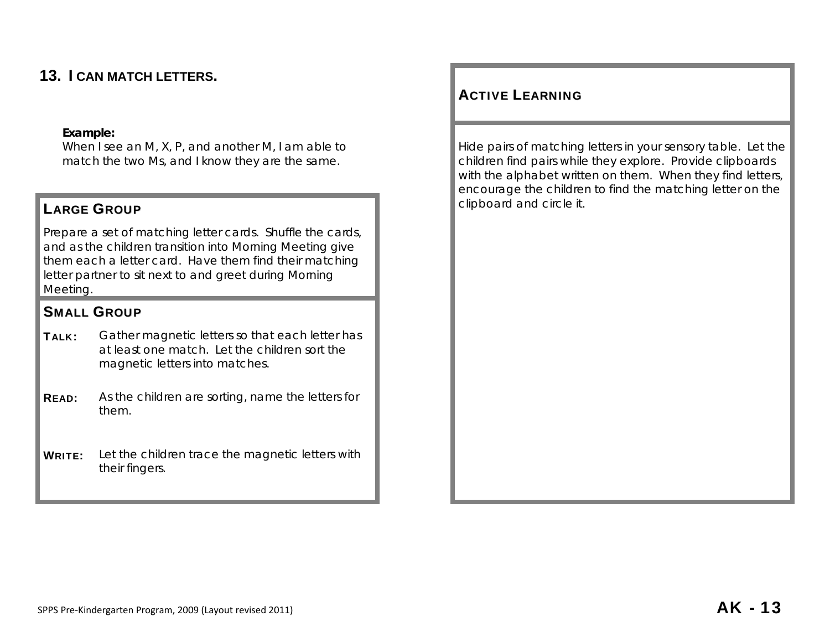# **13. I CAN MATCH LETTERS.**

## **Example:**

When I see an M, X, P, and another M, I am able to match the two Ms, and I know they are the same.

# LARGE GROUP **LARGE GROUP**

Prepare a set of matching letter cards. Shuffle the cards, and as the children transition into Morning Meeting give them each a letter card. Have them find their matching letter partner to sit next to and greet during Morning Meeting.

# SMALL GROUP

- TALK: Gather magnetic letters so that each letter has at least one match. Let the children sort the magnetic letters into matches.
- **READ:** As the children are sorting, name the letters for them.
- WRITE: Let the children trace the magnetic letters with their fingers.

# ACTIVE LEARNING

Hide pairs of matching letters in your sensory table. Let the children find pairs while they explore. Provide clipboards with the alphabet written on them. When they find letters, encourage the children to find the matching letter on the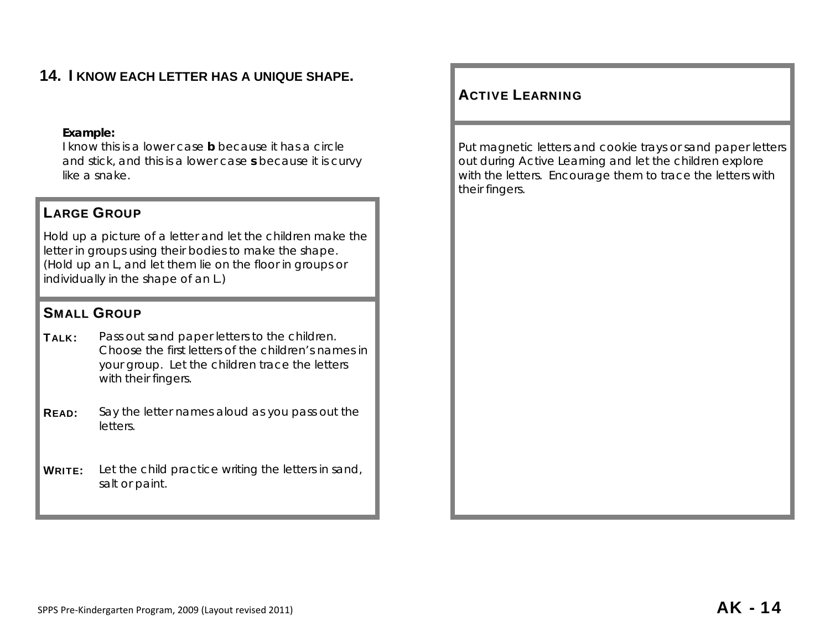# **14. I KNOW EACH LETTER HAS A UNIQUE SHAPE.**

#### **Example:**

I know this is a lower case **b** because it has a circle and stick, and this is a lower case **s** because it is curvy like a snake.

# LARGE GROUP

Hold up a picture of a letter and let the children make the letter in groups using their bodies to make the shape. (Hold up an L, and let them lie on the floor in groups or individually in the shape of an L.)

## SMALL GROUP

- TALK: Pass out sand paper letters to the children. Choose the first letters of the children's names in your group. Let the children trace the letters with their fingers.
- **READ:** Say the letter names aloud as you pass out the letters.
- WRITE: Let the child practice writing the letters in sand, salt or paint.

# ACTIVE LEARNING

Put magnetic letters and cookie trays or sand paper letters out during Active Learning and let the children explore with the letters. Encourage them to trace the letters with their fingers.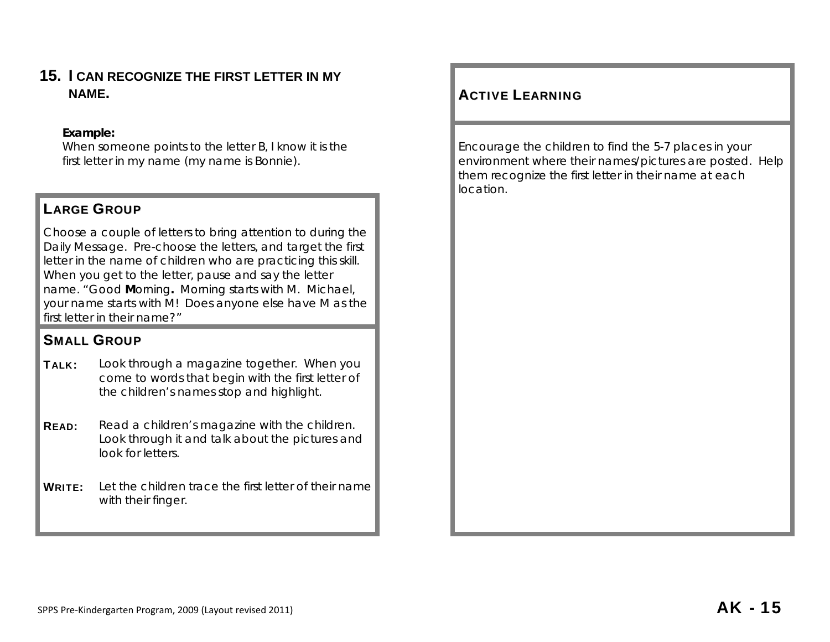# **15. I CAN RECOGNIZE THE FIRST LETTER IN MY NAME.** ACTIVE

## **Example:**

When someone points to the letter B, I know it is the first letter in my name (my name is Bonnie).

# LARGE GROUP

Choose a couple of letters to bring attention to during the Daily Message. Pre-choose the letters, and target the first letter in the name of children who are practicing this skill. When you get to the letter, pause and say the letter name. "Good **M**orning**.** Morning starts with M. Michael, your name starts with M! Does anyone else have M as the first letter in their name?"

# SMALL GROUP

- **TALK:** Look through a magazine together. When you come to words that begin with the first letter of the children's names stop and highlight.
- **READ:** Read a children's magazine with the children. Look through it and talk about the pictures and look for letters.
- **WRITE:** Let the children trace the first letter of their name with their finger.

# **ACTIVE LEARNING**

Encourage the children to find the 5-7 places in your environment where their names/pictures are posted. Help them recognize the first letter in their name at each location.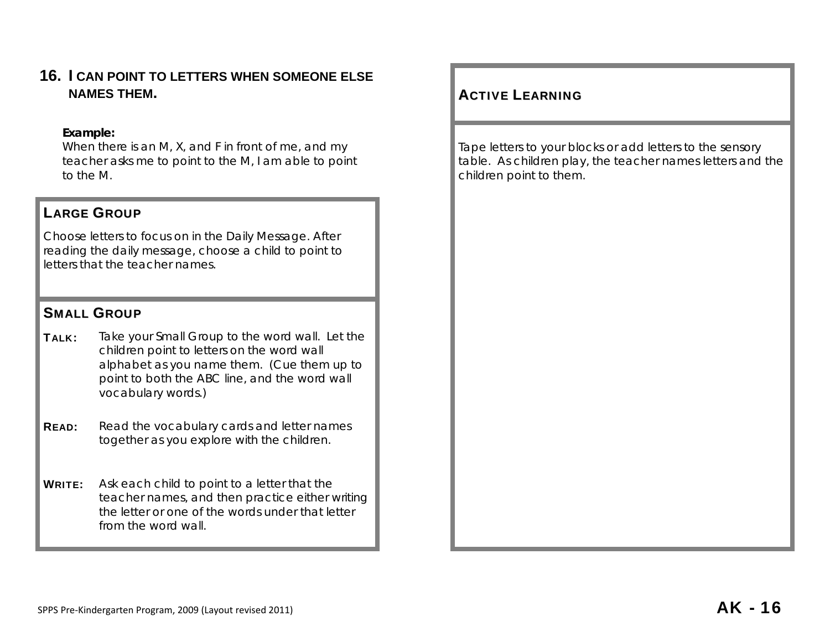# **16. I CAN POINT TO LETTERS WHEN SOMEONE ELSE NAMES THEM.**

## **Example:**

When there is an M, X, and F in front of me, and my teacher asks me to point to the M, I am able to point to the M.

# LARGE GROUP

Choose letters to focus on in the Daily Message. After reading the daily message, choose a child to point to letters that the teacher names.

# SMALL GROUP

- TALK: Take your Small Group to the word wall. Let the children point to letters on the word wall alphabet as you name them. (Cue them up to point to both the ABC line, and the word wall vocabulary words.)
- **READ:** Read the vocabulary cards and letter names together as you explore with the children.
- **WRITE:** Ask each child to point to a letter that the teacher names, and then practice either writing the letter or one of the words under that letter from the word wall.

# **ACTIVE LEARNING**

Tape letters to your blocks or add letters to the sensory table. As children play, the teacher names letters and the children point to them.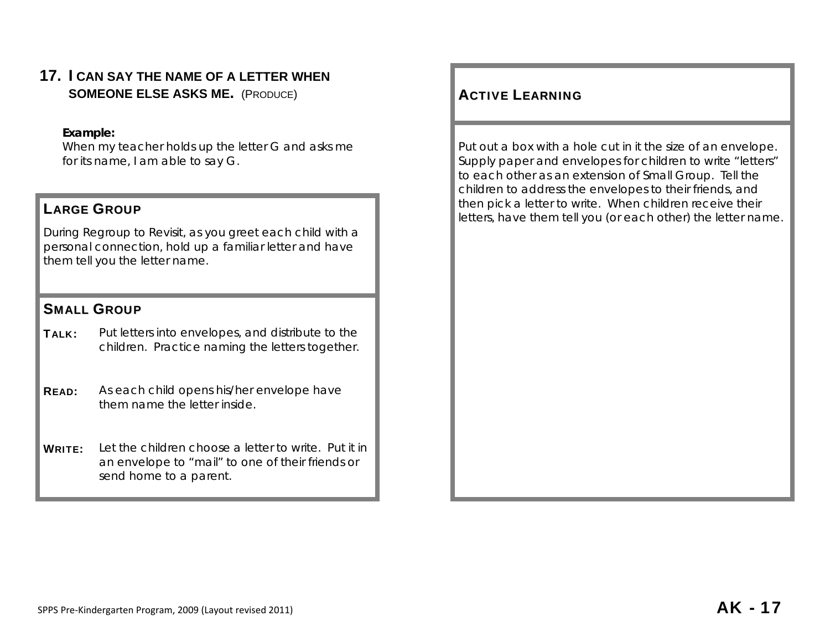# **17. I CAN SAY THE NAME OF A LETTER WHEN SOMEONE ELSE ASKS ME.** (Produce) ACTIVE

## **Example:**

When my teacher holds up the letter G and asks me for its name, I am able to say G.

During Regroup to Revisit, as you greet each child with a personal connection, hold up a familiar letter and have them tell you the letter name.

# SMALL GROUP

TALK: Put letters into envelopes, and distribute to the children. Practice naming the letters together.

**READ:** As each child opens his/her envelope have them name the letter inside.

WRITE: Let the children choose a letter to write. Put it in an envelope to "mail" to one of their friends or send home to a parent.

# **ACTIVE LEARNING**

Put out a box with a hole cut in it the size of an envelope. Supply paper and envelopes for children to write "letters" to each other as an extension of Small Group. Tell the children to address the envelopes to their friends, and then pick a letter to write. When children receive their **LARGE GROUP LARGE GROUP LARGE GROUP LARGE GROUP LARGE GROUP LARGE GROUP LARGE GROUP LARGE GROUP LARGE GROUP LARGE GROUP LARGE GROUP LARGE GROUP LARGE GROUP LARGE GROUP LARGE GROUP LABBE AND A**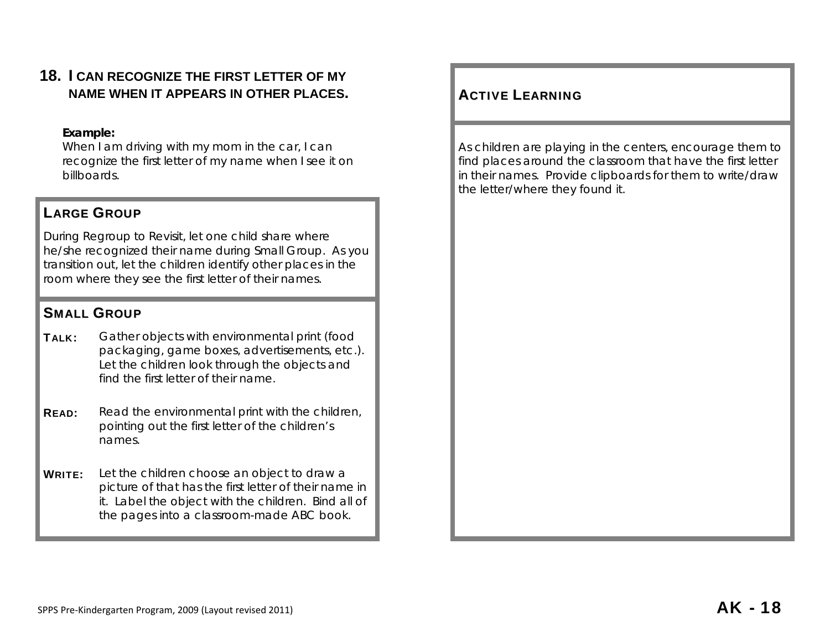# **18. I CAN RECOGNIZE THE FIRST LETTER OF MY NAME WHEN IT APPEARS IN OTHER PLACES.**

## **Example:**

When I am driving with my mom in the car, I can recognize the first letter of my name when I see it on billboards.

# LARGE GROUP

During Regroup to Revisit, let one child share where he/she recognized their name during Small Group. As you transition out, let the children identify other places in the room where they see the first letter of their names.

# SMALL GROUP

- TALK: Gather objects with environmental print (food packaging, game boxes, advertisements, etc.). Let the children look through the objects and find the first letter of their name.
- **READ:** Read the environmental print with the children, pointing out the first letter of the children's names.
- **WRITE:** Let the children choose an object to draw a picture of that has the first letter of their name in it. Label the object with the children. Bind all of the pages into a classroom-made ABC book.

# **ACTIVE LEARNING**

As children are playing in the centers, encourage them to find places around the classroom that have the first letter in their names. Provide clipboards for them to write/draw the letter/where they found it.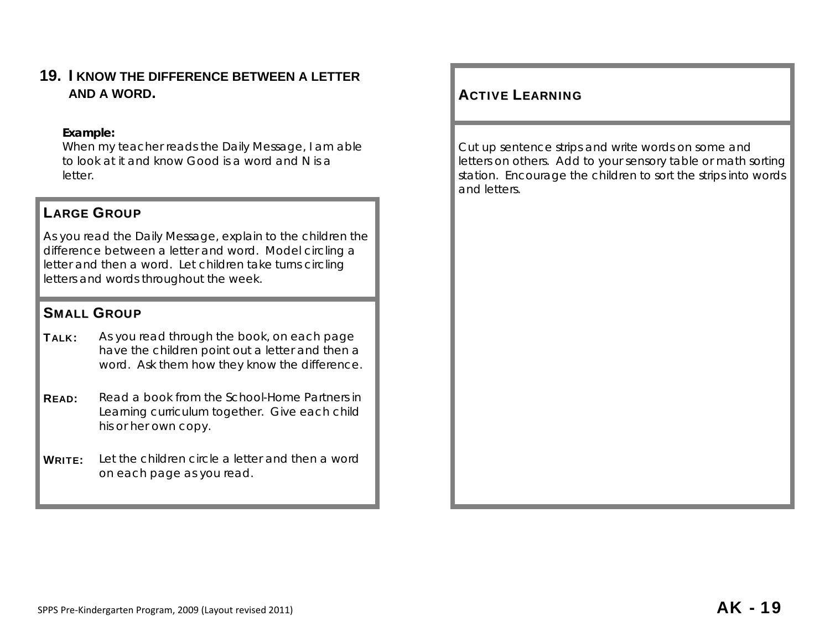**19. I KNOW THE DIFFERENCE BETWEEN A LETTER AND A WORD.** 

#### **Example:**

When my teacher reads the Daily Message, I am able to look at it and know Good is a word and N is a letter.

# LARGE GROUP

As you read the Daily Message, explain to the children the difference between a letter and word. Model circling a letter and then a word. Let children take turns circling letters and words throughout the week.

## SMALL GROUP

- TALK: As you read through the book, on each page have the children point out a letter and then a word. Ask them how they know the difference.
- READ: Read a book from the *School-Home Partners in Learning* curriculum together. Give each child his or her own copy.
- WRITE: Let the children circle a letter and then a word on each page as you read.

# **ACTIVE LEARNING**

Cut up sentence strips and write words on some and letters on others. Add to your sensory table or math sorting station. Encourage the children to sort the strips into words and letters.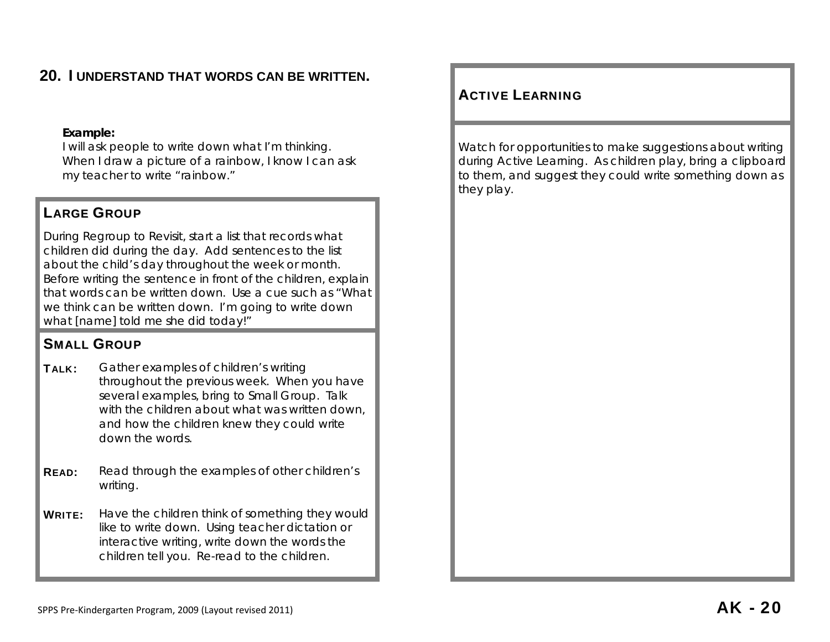# **20. I UNDERSTAND THAT WORDS CAN BE WRITTEN.**

#### **Example:**

I will ask people to write down what I'm thinking. When I draw a picture of a rainbow, I know I can ask my teacher to write "rainbow."

# LARGE GROUP

During Regroup to Revisit, start a list that records what children did during the day. Add sentences to the list about the child's day throughout the week or month. Before writing the sentence in front of the children, explain that words can be written down. Use a cue such as "What we think can be written down. I'm going to write down what [name] told me she did today!"

# SMALL GROUP

- **TALK:** Gather examples of children's writing throughout the previous week. When you have several examples, bring to Small Group. Talk with the children about what was written down, and how the children knew they could write down the words.
- **READ:** Read through the examples of other children's writing.
- WRITE: Have the children think of something they would like to write down. Using teacher dictation or interactive writing, write down the words the children tell you. Re-read to the children.

# ACTIVE LEARNING

Watch for opportunities to make suggestions about writing during Active Learning. As children play, bring a clipboard to them, and suggest they could write something down as they play.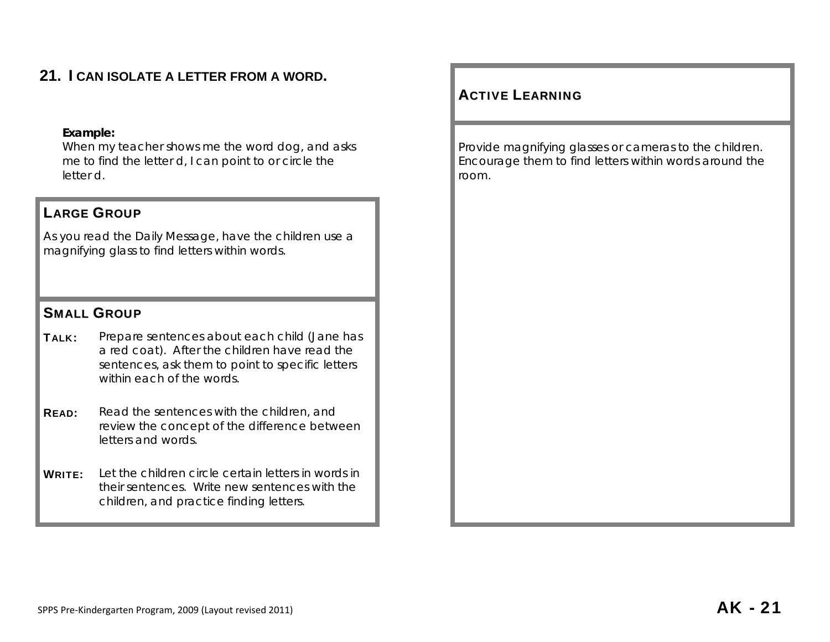# **21. I CAN ISOLATE A LETTER FROM A WORD.**

#### **Example:**

When my teacher shows me the word dog, and asks me to find the letter d, I can point to or circle the letter d.

# LARGE GROUP

As you read the Daily Message, have the children use a magnifying glass to find letters within words.

# SMALL GROUP

- TALK: Prepare sentences about each child (Jane has a red coat). After the children have read the sentences, ask them to point to specific letters within each of the words.
- **READ:** Read the sentences with the children, and review the concept of the difference between letters and words.
- WRITE: Let the children circle certain letters in words in their sentences. Write new sentences with the children, and practice finding letters.

# ACTIVE LEARNING

Provide magnifying glasses or cameras to the children. Encourage them to find letters within words around the room.